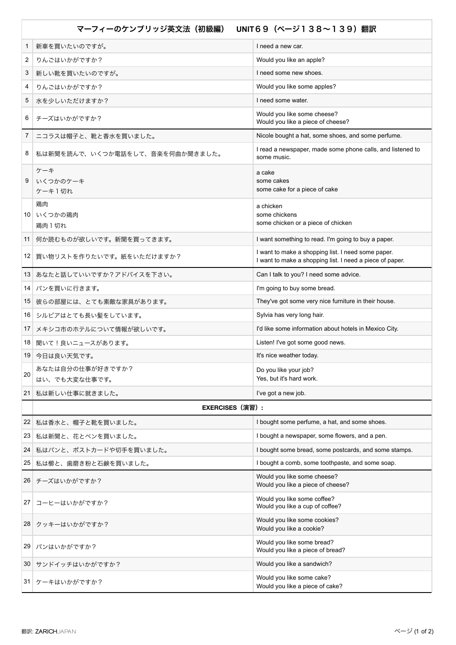| UNIT69 (ページ138~139) 翻訳<br>マーフィーのケンブリッジ英文法(初級編) |                                   |                                                                                                                |
|------------------------------------------------|-----------------------------------|----------------------------------------------------------------------------------------------------------------|
| 1                                              | 新車を買いたいのですが。                      | I need a new car.                                                                                              |
| 2                                              | りんごはいかがですか?                       | Would you like an apple?                                                                                       |
| 3                                              | 新しい靴を買いたいのですが。                    | I need some new shoes.                                                                                         |
| 4                                              | りんごはいかがですか?                       | Would you like some apples?                                                                                    |
| 5                                              | 水を少しいただけますか?                      | I need some water.                                                                                             |
| 6                                              | チーズはいかがですか?                       | Would you like some cheese?<br>Would you like a piece of cheese?                                               |
| 7                                              | ニコラスは帽子と、靴と香水を買いました。              | Nicole bought a hat, some shoes, and some perfume.                                                             |
| 8                                              | 私は新聞を読んで、いくつか電話をして、音楽を何曲か聞きました。   | I read a newspaper, made some phone calls, and listened to<br>some music.                                      |
| 9                                              | ケーキ<br>いくつかのケーキ<br>ケーキ1切れ         | a cake<br>some cakes<br>some cake for a piece of cake                                                          |
|                                                | 鶏肉<br>10 いくつかの鶏肉<br>鶏肉1切れ         | a chicken<br>some chickens<br>some chicken or a piece of chicken                                               |
| 11                                             | 何か読むものが欲しいです。新聞を買ってきます。           | I want something to read. I'm going to buy a paper.                                                            |
|                                                | 12 買い物リストを作りたいです。紙をいただけますか?       | I want to make a shopping list. I need some paper.<br>I want to make a shopping list. I need a piece of paper. |
| 13                                             | あなたと話していいですか?アドバイスを下さい。           | Can I talk to you? I need some advice.                                                                         |
| 14                                             | パンを買いに行きます。                       | I'm going to buy some bread.                                                                                   |
| 15 <sup>1</sup>                                | 彼らの部屋には、とても素敵な家具があります。            | They've got some very nice furniture in their house.                                                           |
|                                                | 16 シルビアはとても長い髪をしています。             | Sylvia has very long hair.                                                                                     |
| 17                                             | メキシコ市のホテルについて情報が欲しいです。            | I'd like some information about hotels in Mexico City.                                                         |
|                                                | 18 聞いて!良いニュースがあります。               | Listen! I've got some good news.                                                                               |
|                                                | 19 今日は良い天気です。                     | It's nice weather today.                                                                                       |
| 20                                             | あなたは自分の仕事が好きですか?<br>はい、でも大変な仕事です。 | Do you like your job?<br>Yes, but it's hard work.                                                              |
| $21 \mid$                                      | 私は新しい仕事に就きました。                    | I've got a new job.                                                                                            |
|                                                | <b>EXERCISES</b> (演習) :           |                                                                                                                |
| 22                                             | 私は香水と、帽子と靴を買いました。                 | I bought some perfume, a hat, and some shoes.                                                                  |
| 23                                             | 私は新聞と、花とペンを買いました。                 | I bought a newspaper, some flowers, and a pen.                                                                 |
| 24                                             | 私はパンと、ポストカードや切手を買いました。            | I bought some bread, some postcards, and some stamps.                                                          |
| 25                                             | 私は櫛と、歯磨き粉と石鹸を買いました。               | I bought a comb, some toothpaste, and some soap.                                                               |
| 26                                             | │ チーズはいかがですか?                     | Would you like some cheese?<br>Would you like a piece of cheese?                                               |
| 27                                             | コーヒーはいかがですか?                      | Would you like some coffee?<br>Would you like a cup of coffee?                                                 |
|                                                | 28 クッキーはいかがですか?                   | Would you like some cookies?<br>Would you like a cookie?                                                       |
| 29                                             | パンはいかがですか?                        | Would you like some bread?<br>Would you like a piece of bread?                                                 |
| 30                                             | サンドイッチはいかがですか?                    | Would you like a sandwich?                                                                                     |
|                                                | 31 ケーキはいかがですか?                    | Would you like some cake?<br>Would you like a piece of cake?                                                   |